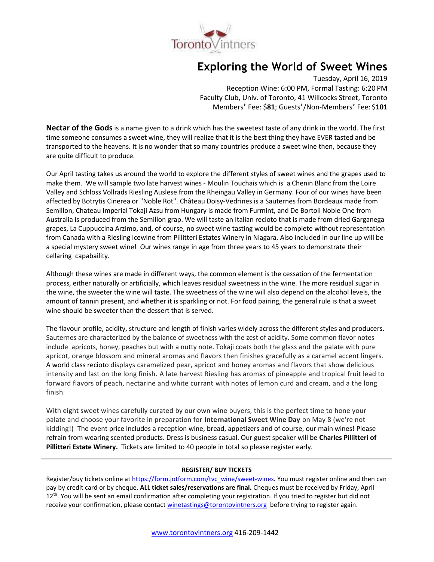

# **Exploring the World of Sweet Wines**

Tuesday, April 16, 2019 Reception Wine: 6:00 PM, Formal Tasting: 6:20 PM Faculty Club, Univ. of Toronto, 41 Willcocks Street, Toronto Members' Fee: \$**81**; Guests'/Non-Members' Fee: \$**101**

**Nectar of the Gods**is a name given to a drink which has the sweetest taste of any drink in the world. The first time someone consumes a sweet wine, they will realize that it is the best thing they have EVER tasted and be transported to the heavens. It is no wonder that so many countries produce a sweet wine then, because they are quite difficult to produce.

Our April tasting takes us around the world to explore the different styles of sweet wines and the grapes used to make them. We will sample two late harvest wines - Moulin Touchais which is a Chenin Blanc from the Loire Valley and Schloss Vollrads Riesling Auslese from the Rheingau Valley in Germany. Four of our wines have been affected by Botrytis Cinerea or "Noble Rot". Château Doisy-Vedrines is a Sauternes from Bordeaux made from Semillon, Chateau Imperial Tokaji Azsu from Hungary is made from Furmint, and De Bortoli Noble One from Australia is produced from the Semillon grap. We will taste an Italian recioto that is made from dried Garganega grapes, La Cuppuccina Arzimo, and, of course, no sweet wine tasting would be complete without representation from Canada with a Riesling Icewine from Pillitteri Estates Winery in Niagara. Also included in our line up will be a special mystery sweet wine! Our wines range in age from three years to 45 years to demonstrate their cellaring capabaility.

Although these wines are made in different ways, the common element is the cessation of the fermentation process, either naturally or artificially, which leaves residual sweetness in the wine. The more residual sugar in the wine, the sweeter the wine will taste. The sweetness of the wine will also depend on the alcohol levels, the amount of tannin present, and whether it is sparkling or not. For food pairing, the general rule is that a sweet wine should be sweeter than the dessert that is served.

The flavour profile, acidity, structure and length of finish varies widely across the different styles and producers. Sauternes are characterized by the balance of sweetness with the zest of acidity. Some common flavor notes include apricots, honey, peaches but with a nutty note. Tokaji coats both the glass and the palate with pure apricot, orange blossom and mineral aromas and flavors then finishes gracefully as a caramel accent lingers. A world class recioto displays caramelized pear, apricot and honey aromas and flavors that show delicious intensity and last on the long finish. A late harvest Riesling has aromas of pineapple and tropical fruit lead to forward flavors of peach, nectarine and white currant with notes of lemon curd and cream, and a the long finish.

With eight sweet wines carefully curated by our own wine buyers, this is the perfect time to hone your palate and choose your favorite in preparation for **International Sweet Wine Day** on May 8 (we're not kidding!) The event price includes a reception wine, bread, appetizers and of course, our main wines! Please refrain from wearing scented products. Dress is business casual. Our guest speaker will be **Charles Pillitteri of Pillitteri Estate Winery.** Tickets are limited to 40 people in total so please register early.

# **REGISTER/ BUY TICKETS**

Register/buy tickets online at [https://form.jotform.com/tvc\\_wine/sweet-wines.](https://form.jotform.com/tvc_wine/sweet-wines) You must register online and then can pay by credit card or by cheque. **ALL ticket sales/reservations are final.** Cheques must be received by Friday, April 12<sup>th</sup>. You will be sent an email confirmation after completing your registration. If you tried to register but did not receive your confirmation, please contact [winetastings@torontovintners.org](mailto:winetastings@torontovintners.org) before trying to register again.